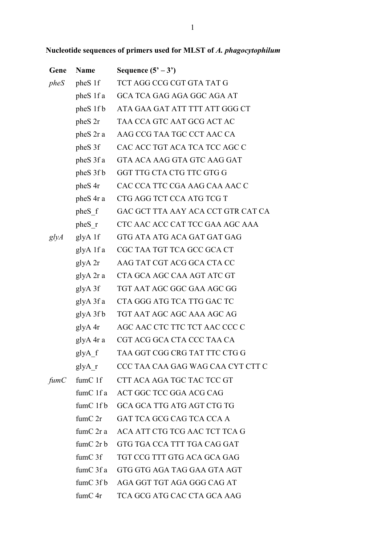|  | Nucleotide sequences of primers used for MLST of <i>A. phagocytophilum</i> |  |  |
|--|----------------------------------------------------------------------------|--|--|
|--|----------------------------------------------------------------------------|--|--|

| Gene | <b>Name</b>          | Sequence $(5' - 3')$                  |
|------|----------------------|---------------------------------------|
| pheS | pheS 1f              | TCT AGG CCG CGT GTA TAT G             |
|      | pheS 1f a            | GCA TCA GAG AGA GGC AGA AT            |
|      | pheS 1f b            | ATA GAA GAT ATT TTT ATT GGG CT        |
|      | $pheS$ 2r            | TAA CCA GTC AAT GCG ACT AC            |
|      | pheS 2r a            | AAG CCG TAA TGC CCT AAC CA            |
|      | pheS 3f              | CAC ACC TGT ACA TCA TCC AGC C         |
|      | pheS 3f a            | GTA ACA AAG GTA GTC AAG GAT           |
|      | pheS 3f b            | GGT TTG CTA CTG TTC GTG G             |
|      | pheS 4r              | CAC CCA TTC CGA AAG CAA AAC C         |
|      | pheS 4r a            | CTG AGG TCT CCA ATG TCG T             |
|      | pheS f               | GAC GCT TTA AAY ACA CCT GTR CAT CA    |
|      | pheS r               | CTC AAC ACC CAT TCC GAA AGC AAA       |
| glyA | glyA 1f              | GTG ATA ATG ACA GAT GAT GAG           |
|      | glyA 1f a            | CGC TAA TGT TCA GCC GCA CT            |
|      | glyA 2r              | AAG TAT CGT ACG GCA CTA CC            |
|      | glyA 2r a            | CTA GCA AGC CAA AGT ATC GT            |
|      | glyA 3f              | TGT AAT AGC GGC GAA AGC GG            |
|      | glyA 3f a            | CTA GGG ATG TCA TTG GAC TC            |
|      | glyA 3f b            | TGT AAT AGC AGC AAA AGC AG            |
|      | glyA 4r              | AGC AAC CTC TTC TCT AAC CCC C         |
|      | glyA 4r a            | CGT ACG GCA CTA CCC TAA CA            |
|      | $glyA_f$             | TAA GGT CGG CRG TAT TTC CTG G         |
|      | glyA r               | CCC TAA CAA GAG WAG CAA CYT CTT C     |
| fumC | $f_{\text{tum}}C$ 1f | CTT ACA AGA TGC TAC TCC GT            |
|      |                      | fumC 1f a ACT GGC TCC GGA ACG CAG     |
|      |                      | fumC 1fb GCA GCA TTG ATG AGT CTG TG   |
|      | $f \text{um} C 2r$   | GAT TCA GCG CAG TCA CCA A             |
|      | fumC 2r a            | ACA ATT CTG TCG AAC TCT TCA G         |
|      | $f$ umC $2r$ b       | GTG TGA CCA TTT TGA CAG GAT           |
|      | fumC 3f              | TGT CCG TTT GTG ACA GCA GAG           |
|      |                      | fumC 3f a GTG GTG AGA TAG GAA GTA AGT |
|      |                      | fumC 3f b AGA GGT TGT AGA GGG CAG AT  |
|      | fumC 4r              | TCA GCG ATG CAC CTA GCA AAG           |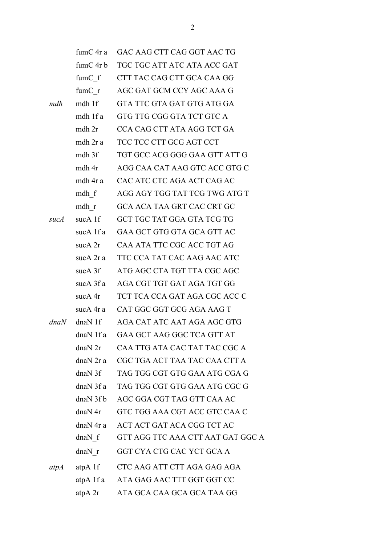|      | fumC 4r a                         | GAC AAG CTT CAG GGT AAC TG        |
|------|-----------------------------------|-----------------------------------|
|      | fumC 4r b                         | TGC TGC ATT ATC ATA ACC GAT       |
|      | fumC f                            | CTT TAC CAG CTT GCA CAA GG        |
|      | $f \text{um} C \rightharpoondown$ | AGC GAT GCM CCY AGC AAA G         |
| mdh  | mdh 1f                            | GTA TTC GTA GAT GTG ATG GA        |
|      | mdh 1f a                          | GTG TTG CGG GTA TCT GTC A         |
|      | mdh 2r                            | CCA CAG CTT ATA AGG TCT GA        |
|      | mdh 2r a                          | TCC TCC CTT GCG AGT CCT           |
|      | mdh 3f                            | TGT GCC ACG GGG GAA GTT ATT G     |
|      | mdh 4r                            | AGG CAA CAT AAG GTC ACC GTG C     |
|      | mdh 4r a                          | CAC ATC CTC AGA ACT CAG AC        |
|      | mdh f                             | AGG AGY TGG TAT TCG TWG ATG T     |
|      | mdh r                             | GCA ACA TAA GRT CAC CRT GC        |
| sucA | suc $A$ 1f                        | GCT TGC TAT GGA GTA TCG TG        |
|      | sucA 1f a                         | GAA GCT GTG GTA GCA GTT AC        |
|      | suc $A$ 2r                        | CAA ATA TTC CGC ACC TGT AG        |
|      | sucA 2r a                         | TTC CCA TAT CAC AAG AAC ATC       |
|      | sucA 3f                           | ATG AGC CTA TGT TTA CGC AGC       |
|      | sucA 3f a                         | AGA CGT TGT GAT AGA TGT GG        |
|      | sucA 4r                           | TCT TCA CCA GAT AGA CGC ACC C     |
|      | sucA 4r a                         | CAT GGC GGT GCG AGA AAG T         |
| dnaN | $dnaN$ 1f                         | AGA CAT ATC AAT AGA AGC GTG       |
|      | dnaN 1f a                         | GAA GCT AAG GGC TCA GTT AT        |
|      | $dnaN$ $2r$                       | CAA TTG ATA CAC TAT TAC CGC A     |
|      | $dnaN$ 2r a                       | CGC TGA ACT TAA TAC CAA CTT A     |
|      | dnaN 3f                           | TAG TGG CGT GTG GAA ATG CGA G     |
|      | dnaN3fa                           | TAG TGG CGT GTG GAA ATG CGC G     |
|      | dnaN3fb                           | AGC GGA CGT TAG GTT CAA AC        |
|      | dnaN <sub>4r</sub>                | GTC TGG AAA CGT ACC GTC CAA C     |
|      | $dnaN$ 4r a                       | ACT ACT GAT ACA CGG TCT AC        |
|      | $dnaN$ f                          | GTT AGG TTC AAA CTT AAT GAT GGC A |
|      | $dnaN$ r                          | GGT CYA CTG CAC YCT GCA A         |
| atpA | atpA 1f                           | CTC AAG ATT CTT AGA GAG AGA       |
|      | atpA 1f a                         | ATA GAG AAC TTT GGT GGT CC        |
|      | atpA 2r                           | ATA GCA CAA GCA GCA TAA GG        |